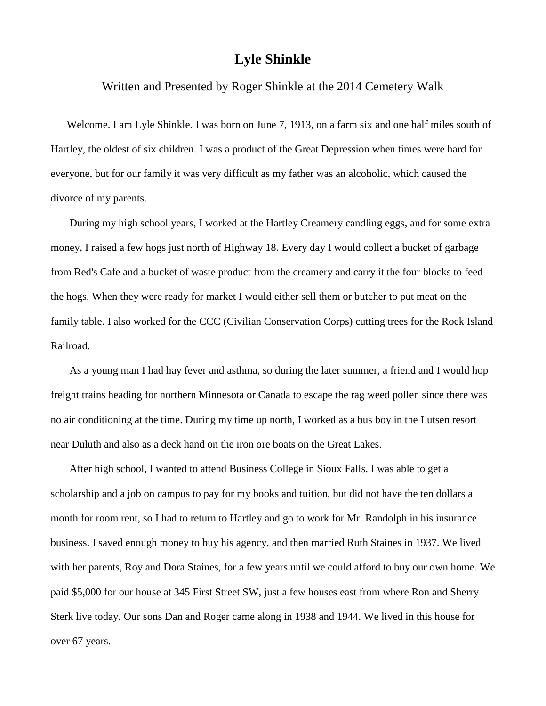## **Lyle Shinkle**

Written and Presented by Roger Shinkle at the 2014 Cemetery Walk

Welcome. I am Lyle Shinkle. I was born on June 7, 1913, on a farm six and one half miles south of Hartley, the oldest of six children. I was a product of the Great Depression when times were hard for everyone, but for our family it was very difficult as my father was an alcoholic, which caused the divorce of my parents.

During my high school years, I worked at the Hartley Creamery candling eggs, and for some extra money, I raised a few hogs just north of Highway 18. Every day I would collect a bucket of garbage from Red's Cafe and a bucket of waste product from the creamery and carry it the four blocks to feed the hogs. When they were ready for market I would either sell them or butcher to put meat on the family table. I also worked for the CCC (Civilian Conservation Corps) cutting trees for the Rock Island Railroad.

As a young man I had hay fever and asthma, so during the later summer, a friend and I would hop freight trains heading for northern Minnesota or Canada to escape the rag weed pollen since there was no air conditioning at the time. During my time up north, I worked as a bus boy in the Lutsen resort near Duluth and also as a deck hand on the iron ore boats on the Great Lakes.

After high school, I wanted to attend Business College in Sioux Falls. I was able to get a scholarship and a job on campus to pay for my books and tuition, but did not have the ten dollars a month for room rent, so I had to return to Hartley and go to work for Mr. Randolph in his insurance business. I saved enough money to buy his agency, and then married Ruth Staines in 1937. We lived with her parents, Roy and Dora Staines, for a few years until we could afford to buy our own home. We paid \$5,000 for our house at 345 First Street SW, just a few houses east from where Ron and Sherry Sterk live today. Our sons Dan and Roger came along in 1938 and 1944. We lived in this house for over 67 years.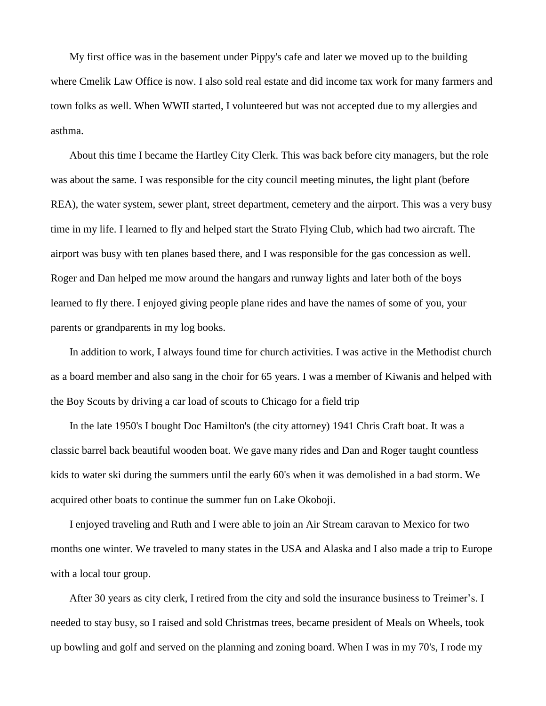My first office was in the basement under Pippy's cafe and later we moved up to the building where Cmelik Law Office is now. I also sold real estate and did income tax work for many farmers and town folks as well. When WWII started, I volunteered but was not accepted due to my allergies and asthma.

About this time I became the Hartley City Clerk. This was back before city managers, but the role was about the same. I was responsible for the city council meeting minutes, the light plant (before REA), the water system, sewer plant, street department, cemetery and the airport. This was a very busy time in my life. I learned to fly and helped start the Strato Flying Club, which had two aircraft. The airport was busy with ten planes based there, and I was responsible for the gas concession as well. Roger and Dan helped me mow around the hangars and runway lights and later both of the boys learned to fly there. I enjoyed giving people plane rides and have the names of some of you, your parents or grandparents in my log books.

In addition to work, I always found time for church activities. I was active in the Methodist church as a board member and also sang in the choir for 65 years. I was a member of Kiwanis and helped with the Boy Scouts by driving a car load of scouts to Chicago for a field trip

In the late 1950's I bought Doc Hamilton's (the city attorney) 1941 Chris Craft boat. It was a classic barrel back beautiful wooden boat. We gave many rides and Dan and Roger taught countless kids to water ski during the summers until the early 60's when it was demolished in a bad storm. We acquired other boats to continue the summer fun on Lake Okoboji.

I enjoyed traveling and Ruth and I were able to join an Air Stream caravan to Mexico for two months one winter. We traveled to many states in the USA and Alaska and I also made a trip to Europe with a local tour group.

After 30 years as city clerk, I retired from the city and sold the insurance business to Treimer's. I needed to stay busy, so I raised and sold Christmas trees, became president of Meals on Wheels, took up bowling and golf and served on the planning and zoning board. When I was in my 70's, I rode my